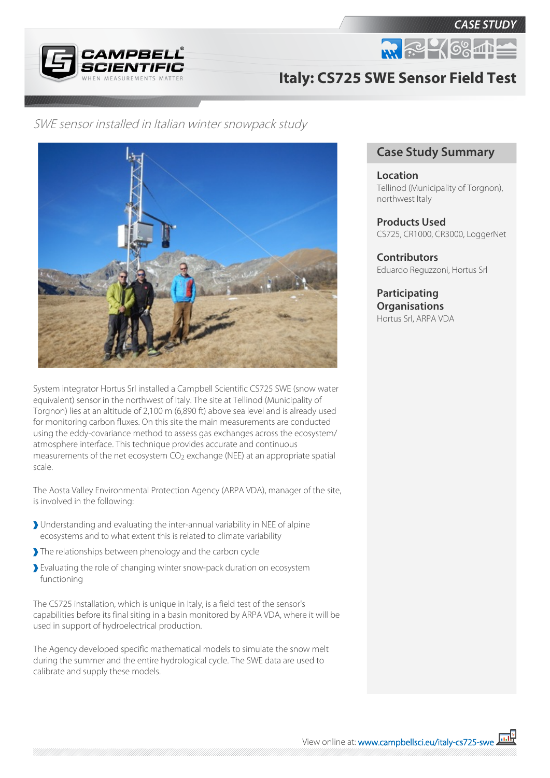

**CASE STUDY** 



## **Italy: CS725 SWE Sensor Field Test**

SWE sensor installed in Italian winter snowpack study



System integrator Hortus Srl installed a Campbell Scientific CS725 SWE (snow water equivalent) sensor in the northwest of Italy. The site at Tellinod (Municipality of Torgnon) lies at an altitude of 2,100 m (6,890 ft) above sea level and is already used for monitoring carbon fluxes. On this site the main measurements are conducted using the eddy-covariance method to assess gas exchanges across the ecosystem/ atmosphere interface. This technique provides accurate and continuous measurements of the net ecosystem  $CO<sub>2</sub>$  exchange (NEE) at an appropriate spatial scale.

The Aosta Valley Environmental Protection Agency (ARPA VDA), manager of the site, is involved in the following:

- Understanding and evaluating the inter-annual variability in NEE of alpine ecosystems and to what extent this is related to climate variability
- The relationships between phenology and the carbon cycle
- Evaluating the role of changing winter snow-pack duration on ecosystem functioning

The CS725 installation, which is unique in Italy, is a field test of the sensor's capabilities before its final siting in a basin monitored by ARPA VDA, where it will be used in support of hydroelectrical production.

The Agency developed specific mathematical models to simulate the snow melt during the summer and the entire hydrological cycle. The SWE data are used to calibrate and supply these models.

## **Case Study Summary**

**Location** Tellinod (Municipality of Torgnon), northwest Italy

**Products Used** CS725, CR1000, CR3000, LoggerNet

**Contributors** Eduardo Reguzzoni, Hortus Srl

**Participating Organisations** Hortus Srl, ARPA VDA